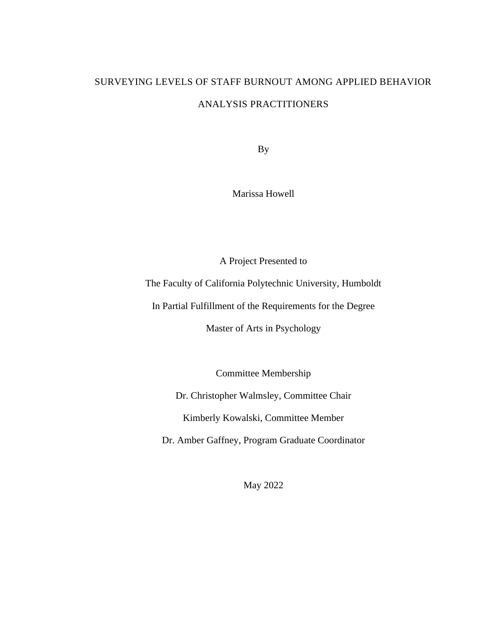# SURVEYING LEVELS OF STAFF BURNOUT AMONG APPLIED BEHAVIOR ANALYSIS PRACTITIONERS

By

Marissa Howell

A Project Presented to

The Faculty of California Polytechnic University, Humboldt

In Partial Fulfillment of the Requirements for the Degree

Master of Arts in Psychology

Committee Membership

Dr. Christopher Walmsley, Committee Chair

Kimberly Kowalski, Committee Member

Dr. Amber Gaffney, Program Graduate Coordinator

May 2022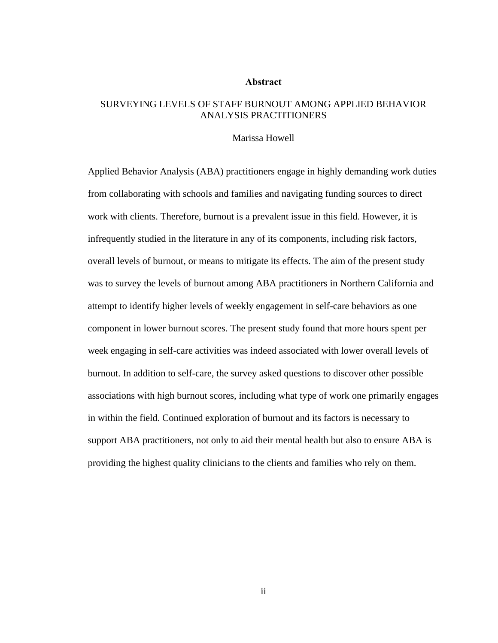#### **Abstract**

## <span id="page-1-0"></span>SURVEYING LEVELS OF STAFF BURNOUT AMONG APPLIED BEHAVIOR ANALYSIS PRACTITIONERS

#### Marissa Howell

Applied Behavior Analysis (ABA) practitioners engage in highly demanding work duties from collaborating with schools and families and navigating funding sources to direct work with clients. Therefore, burnout is a prevalent issue in this field. However, it is infrequently studied in the literature in any of its components, including risk factors, overall levels of burnout, or means to mitigate its effects. The aim of the present study was to survey the levels of burnout among ABA practitioners in Northern California and attempt to identify higher levels of weekly engagement in self-care behaviors as one component in lower burnout scores. The present study found that more hours spent per week engaging in self-care activities was indeed associated with lower overall levels of burnout. In addition to self-care, the survey asked questions to discover other possible associations with high burnout scores, including what type of work one primarily engages in within the field. Continued exploration of burnout and its factors is necessary to support ABA practitioners, not only to aid their mental health but also to ensure ABA is providing the highest quality clinicians to the clients and families who rely on them.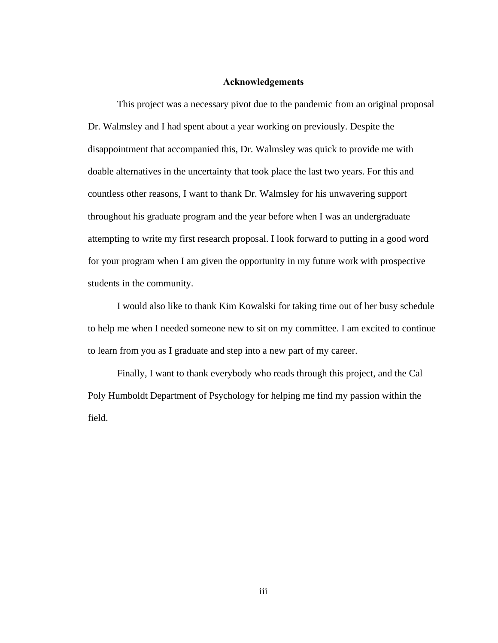#### **Acknowledgements**

<span id="page-2-0"></span>This project was a necessary pivot due to the pandemic from an original proposal Dr. Walmsley and I had spent about a year working on previously. Despite the disappointment that accompanied this, Dr. Walmsley was quick to provide me with doable alternatives in the uncertainty that took place the last two years. For this and countless other reasons, I want to thank Dr. Walmsley for his unwavering support throughout his graduate program and the year before when I was an undergraduate attempting to write my first research proposal. I look forward to putting in a good word for your program when I am given the opportunity in my future work with prospective students in the community.

I would also like to thank Kim Kowalski for taking time out of her busy schedule to help me when I needed someone new to sit on my committee. I am excited to continue to learn from you as I graduate and step into a new part of my career.

Finally, I want to thank everybody who reads through this project, and the Cal Poly Humboldt Department of Psychology for helping me find my passion within the field.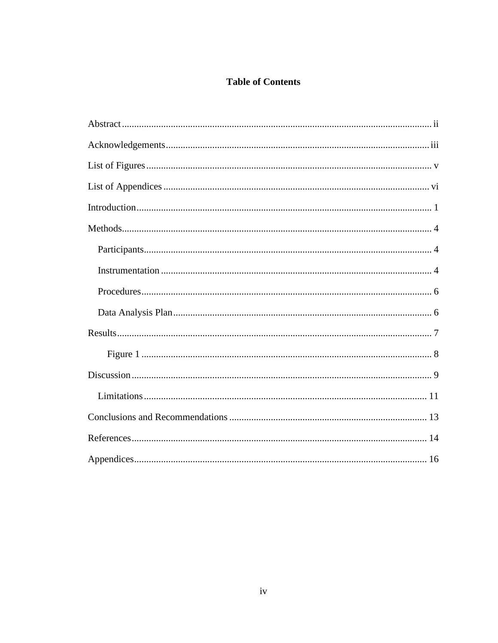# **Table of Contents**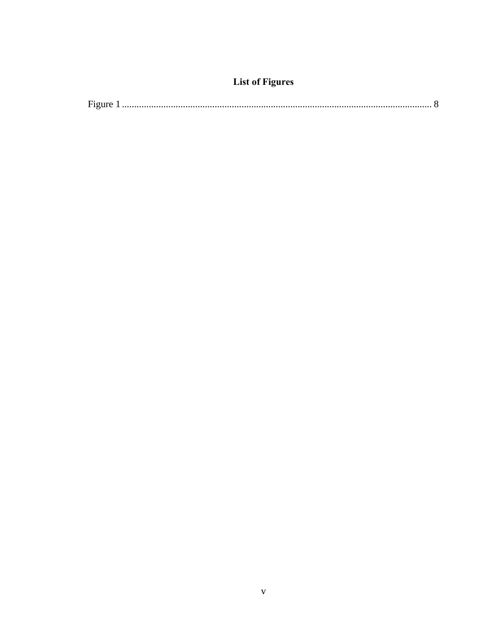# **List of Figures**

<span id="page-4-0"></span>

| $\overline{\phantom{a}}$ |  |  |  |
|--------------------------|--|--|--|
|--------------------------|--|--|--|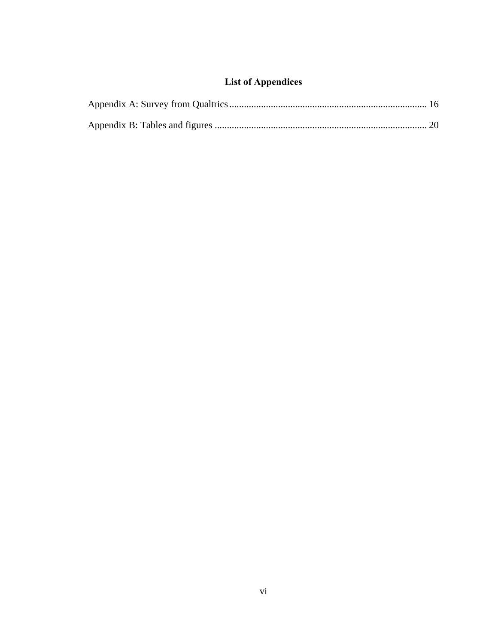# **List of Appendices**

<span id="page-5-0"></span>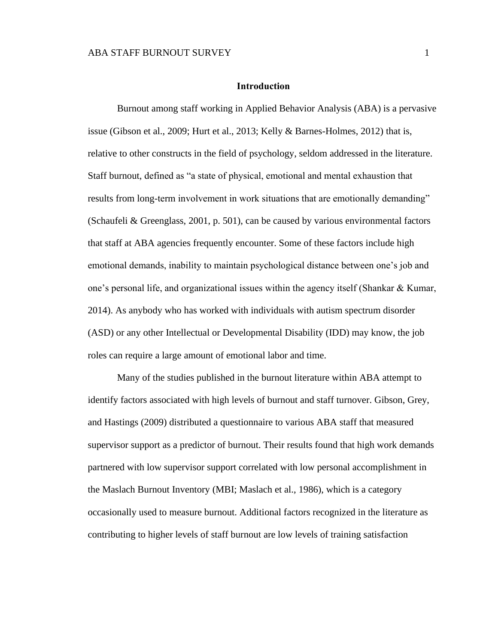#### **Introduction**

<span id="page-6-0"></span>Burnout among staff working in Applied Behavior Analysis (ABA) is a pervasive issue (Gibson et al., 2009; Hurt et al., 2013; Kelly & Barnes-Holmes, 2012) that is, relative to other constructs in the field of psychology, seldom addressed in the literature. Staff burnout, defined as "a state of physical, emotional and mental exhaustion that results from long-term involvement in work situations that are emotionally demanding" (Schaufeli & Greenglass, 2001, p. 501), can be caused by various environmental factors that staff at ABA agencies frequently encounter. Some of these factors include high emotional demands, inability to maintain psychological distance between one's job and one's personal life, and organizational issues within the agency itself (Shankar & Kumar, 2014). As anybody who has worked with individuals with autism spectrum disorder (ASD) or any other Intellectual or Developmental Disability (IDD) may know, the job roles can require a large amount of emotional labor and time.

Many of the studies published in the burnout literature within ABA attempt to identify factors associated with high levels of burnout and staff turnover. Gibson, Grey, and Hastings (2009) distributed a questionnaire to various ABA staff that measured supervisor support as a predictor of burnout. Their results found that high work demands partnered with low supervisor support correlated with low personal accomplishment in the Maslach Burnout Inventory (MBI; Maslach et al., 1986), which is a category occasionally used to measure burnout. Additional factors recognized in the literature as contributing to higher levels of staff burnout are low levels of training satisfaction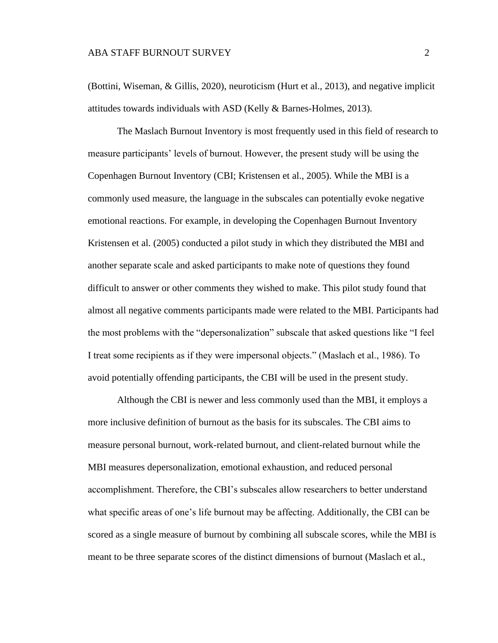(Bottini, Wiseman, & Gillis, 2020), neuroticism (Hurt et al., 2013), and negative implicit attitudes towards individuals with ASD (Kelly & Barnes-Holmes, 2013).

The Maslach Burnout Inventory is most frequently used in this field of research to measure participants' levels of burnout. However, the present study will be using the Copenhagen Burnout Inventory (CBI; Kristensen et al., 2005). While the MBI is a commonly used measure, the language in the subscales can potentially evoke negative emotional reactions. For example, in developing the Copenhagen Burnout Inventory Kristensen et al. (2005) conducted a pilot study in which they distributed the MBI and another separate scale and asked participants to make note of questions they found difficult to answer or other comments they wished to make. This pilot study found that almost all negative comments participants made were related to the MBI. Participants had the most problems with the "depersonalization" subscale that asked questions like "I feel I treat some recipients as if they were impersonal objects." (Maslach et al., 1986). To avoid potentially offending participants, the CBI will be used in the present study.

Although the CBI is newer and less commonly used than the MBI, it employs a more inclusive definition of burnout as the basis for its subscales. The CBI aims to measure personal burnout, work-related burnout, and client-related burnout while the MBI measures depersonalization, emotional exhaustion, and reduced personal accomplishment. Therefore, the CBI's subscales allow researchers to better understand what specific areas of one's life burnout may be affecting. Additionally, the CBI can be scored as a single measure of burnout by combining all subscale scores, while the MBI is meant to be three separate scores of the distinct dimensions of burnout (Maslach et al.,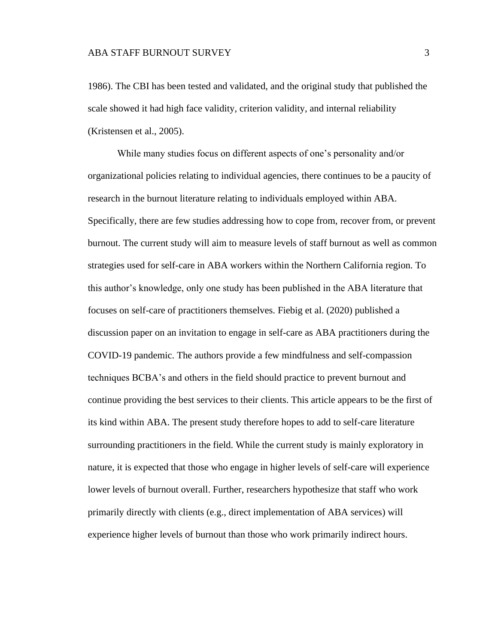1986). The CBI has been tested and validated, and the original study that published the scale showed it had high face validity, criterion validity, and internal reliability (Kristensen et al., 2005).

While many studies focus on different aspects of one's personality and/or organizational policies relating to individual agencies, there continues to be a paucity of research in the burnout literature relating to individuals employed within ABA. Specifically, there are few studies addressing how to cope from, recover from, or prevent burnout. The current study will aim to measure levels of staff burnout as well as common strategies used for self-care in ABA workers within the Northern California region. To this author's knowledge, only one study has been published in the ABA literature that focuses on self-care of practitioners themselves. Fiebig et al. (2020) published a discussion paper on an invitation to engage in self-care as ABA practitioners during the COVID-19 pandemic. The authors provide a few mindfulness and self-compassion techniques BCBA's and others in the field should practice to prevent burnout and continue providing the best services to their clients. This article appears to be the first of its kind within ABA. The present study therefore hopes to add to self-care literature surrounding practitioners in the field. While the current study is mainly exploratory in nature, it is expected that those who engage in higher levels of self-care will experience lower levels of burnout overall. Further, researchers hypothesize that staff who work primarily directly with clients (e.g., direct implementation of ABA services) will experience higher levels of burnout than those who work primarily indirect hours.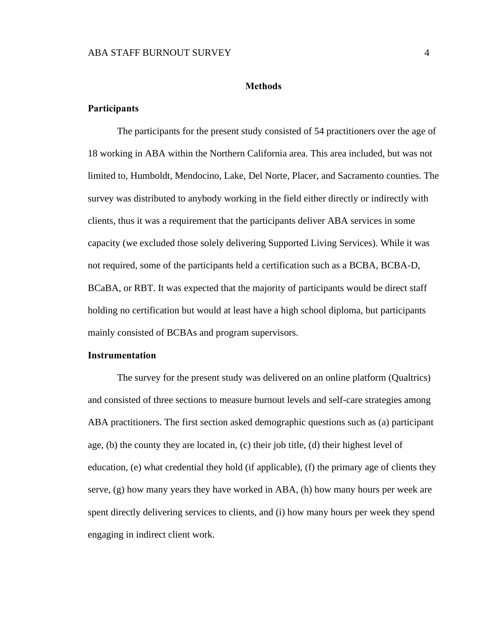#### **Methods**

#### <span id="page-9-1"></span><span id="page-9-0"></span>**Participants**

The participants for the present study consisted of 54 practitioners over the age of 18 working in ABA within the Northern California area. This area included, but was not limited to, Humboldt, Mendocino, Lake, Del Norte, Placer, and Sacramento counties. The survey was distributed to anybody working in the field either directly or indirectly with clients, thus it was a requirement that the participants deliver ABA services in some capacity (we excluded those solely delivering Supported Living Services). While it was not required, some of the participants held a certification such as a BCBA, BCBA-D, BCaBA, or RBT. It was expected that the majority of participants would be direct staff holding no certification but would at least have a high school diploma, but participants mainly consisted of BCBAs and program supervisors.

#### <span id="page-9-2"></span>**Instrumentation**

The survey for the present study was delivered on an online platform (Qualtrics) and consisted of three sections to measure burnout levels and self-care strategies among ABA practitioners. The first section asked demographic questions such as (a) participant age,  $(b)$  the county they are located in,  $(c)$  their job title,  $(d)$  their highest level of education, (e) what credential they hold (if applicable), (f) the primary age of clients they serve, (g) how many years they have worked in ABA, (h) how many hours per week are spent directly delivering services to clients, and (i) how many hours per week they spend engaging in indirect client work.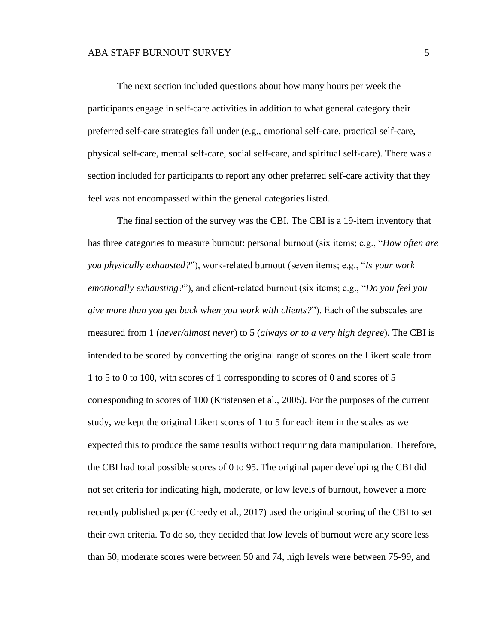The next section included questions about how many hours per week the participants engage in self-care activities in addition to what general category their preferred self-care strategies fall under (e.g., emotional self-care, practical self-care, physical self-care, mental self-care, social self-care, and spiritual self-care). There was a section included for participants to report any other preferred self-care activity that they feel was not encompassed within the general categories listed.

The final section of the survey was the CBI. The CBI is a 19-item inventory that has three categories to measure burnout: personal burnout (six items; e.g., "*How often are you physically exhausted?*"), work-related burnout (seven items; e.g., "*Is your work emotionally exhausting?*"), and client-related burnout (six items; e.g., "*Do you feel you give more than you get back when you work with clients?*"). Each of the subscales are measured from 1 (*never/almost never*) to 5 (*always or to a very high degree*). The CBI is intended to be scored by converting the original range of scores on the Likert scale from 1 to 5 to 0 to 100, with scores of 1 corresponding to scores of 0 and scores of 5 corresponding to scores of 100 (Kristensen et al., 2005). For the purposes of the current study, we kept the original Likert scores of 1 to 5 for each item in the scales as we expected this to produce the same results without requiring data manipulation. Therefore, the CBI had total possible scores of 0 to 95. The original paper developing the CBI did not set criteria for indicating high, moderate, or low levels of burnout, however a more recently published paper (Creedy et al., 2017) used the original scoring of the CBI to set their own criteria. To do so, they decided that low levels of burnout were any score less than 50, moderate scores were between 50 and 74, high levels were between 75-99, and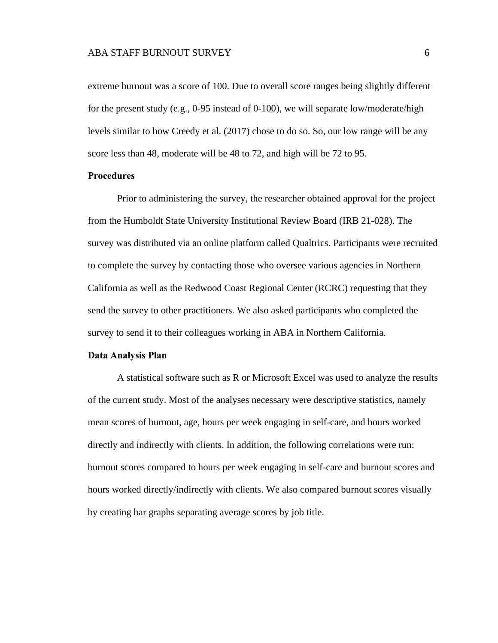extreme burnout was a score of 100. Due to overall score ranges being slightly different for the present study (e.g., 0-95 instead of 0-100), we will separate low/moderate/high levels similar to how Creedy et al. (2017) chose to do so. So, our low range will be any score less than 48, moderate will be 48 to 72, and high will be 72 to 95.

#### <span id="page-11-0"></span>**Procedures**

Prior to administering the survey, the researcher obtained approval for the project from the Humboldt State University Institutional Review Board (IRB 21-028). The survey was distributed via an online platform called Qualtrics. Participants were recruited to complete the survey by contacting those who oversee various agencies in Northern California as well as the Redwood Coast Regional Center (RCRC) requesting that they send the survey to other practitioners. We also asked participants who completed the survey to send it to their colleagues working in ABA in Northern California.

#### <span id="page-11-1"></span>**Data Analysis Plan**

A statistical software such as R or Microsoft Excel was used to analyze the results of the current study. Most of the analyses necessary were descriptive statistics, namely mean scores of burnout, age, hours per week engaging in self-care, and hours worked directly and indirectly with clients. In addition, the following correlations were run: burnout scores compared to hours per week engaging in self-care and burnout scores and hours worked directly/indirectly with clients. We also compared burnout scores visually by creating bar graphs separating average scores by job title.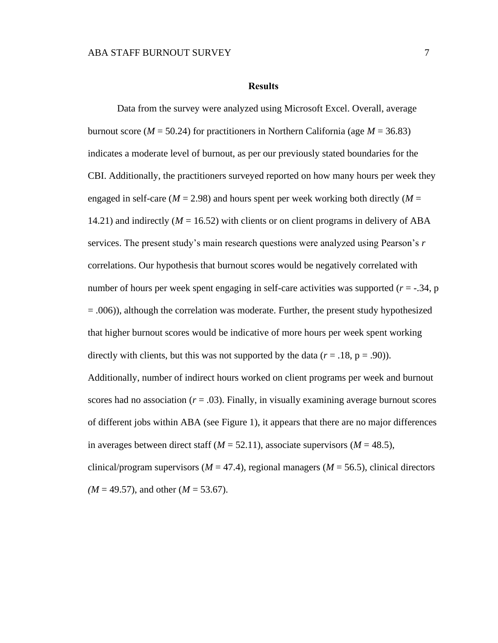#### **Results**

<span id="page-12-0"></span>Data from the survey were analyzed using Microsoft Excel. Overall, average burnout score ( $M = 50.24$ ) for practitioners in Northern California (age  $M = 36.83$ ) indicates a moderate level of burnout, as per our previously stated boundaries for the CBI. Additionally, the practitioners surveyed reported on how many hours per week they engaged in self-care ( $M = 2.98$ ) and hours spent per week working both directly ( $M =$ 14.21) and indirectly (*M* = 16.52) with clients or on client programs in delivery of ABA services. The present study's main research questions were analyzed using Pearson's *r* correlations. Our hypothesis that burnout scores would be negatively correlated with number of hours per week spent engaging in self-care activities was supported (*r* = -.34, p  $= .006$ ), although the correlation was moderate. Further, the present study hypothesized that higher burnout scores would be indicative of more hours per week spent working directly with clients, but this was not supported by the data  $(r = .18, p = .90)$ ). Additionally, number of indirect hours worked on client programs per week and burnout scores had no association  $(r = .03)$ . Finally, in visually examining average burnout scores of different jobs within ABA (see Figure 1), it appears that there are no major differences in averages between direct staff ( $M = 52.11$ ), associate supervisors ( $M = 48.5$ ), clinical/program supervisors ( $M = 47.4$ ), regional managers ( $M = 56.5$ ), clinical directors *(M* = 49.57), and other (*M* = 53.67).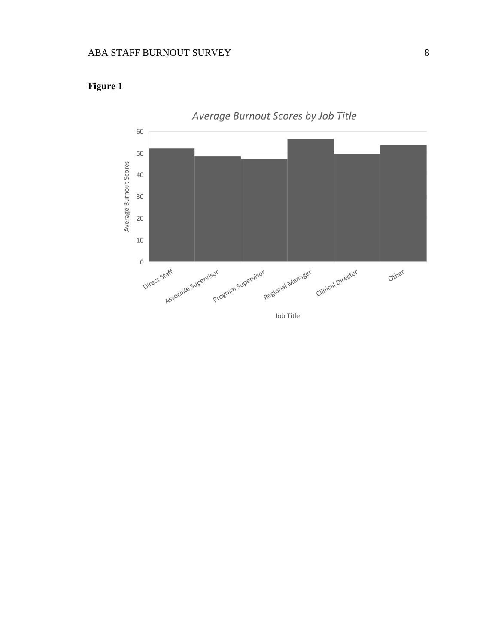

# <span id="page-13-0"></span>**Figure 1**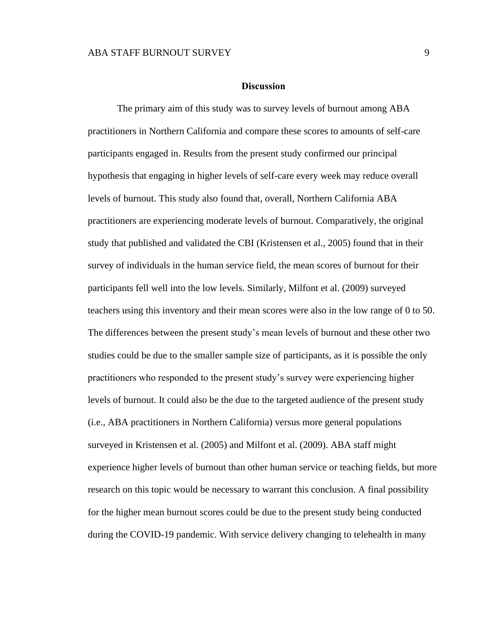#### **Discussion**

<span id="page-14-0"></span>The primary aim of this study was to survey levels of burnout among ABA practitioners in Northern California and compare these scores to amounts of self-care participants engaged in. Results from the present study confirmed our principal hypothesis that engaging in higher levels of self-care every week may reduce overall levels of burnout. This study also found that, overall, Northern California ABA practitioners are experiencing moderate levels of burnout. Comparatively, the original study that published and validated the CBI (Kristensen et al., 2005) found that in their survey of individuals in the human service field, the mean scores of burnout for their participants fell well into the low levels. Similarly, Milfont et al. (2009) surveyed teachers using this inventory and their mean scores were also in the low range of 0 to 50. The differences between the present study's mean levels of burnout and these other two studies could be due to the smaller sample size of participants, as it is possible the only practitioners who responded to the present study's survey were experiencing higher levels of burnout. It could also be the due to the targeted audience of the present study (i.e., ABA practitioners in Northern California) versus more general populations surveyed in Kristensen et al. (2005) and Milfont et al. (2009). ABA staff might experience higher levels of burnout than other human service or teaching fields, but more research on this topic would be necessary to warrant this conclusion. A final possibility for the higher mean burnout scores could be due to the present study being conducted during the COVID-19 pandemic. With service delivery changing to telehealth in many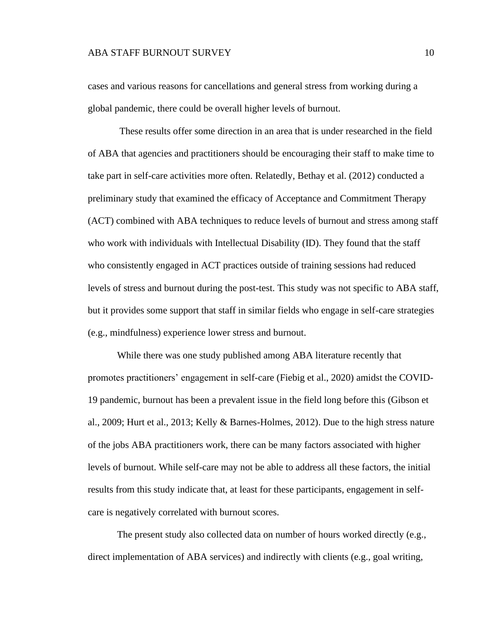cases and various reasons for cancellations and general stress from working during a global pandemic, there could be overall higher levels of burnout.

These results offer some direction in an area that is under researched in the field of ABA that agencies and practitioners should be encouraging their staff to make time to take part in self-care activities more often. Relatedly, Bethay et al. (2012) conducted a preliminary study that examined the efficacy of Acceptance and Commitment Therapy (ACT) combined with ABA techniques to reduce levels of burnout and stress among staff who work with individuals with Intellectual Disability (ID). They found that the staff who consistently engaged in ACT practices outside of training sessions had reduced levels of stress and burnout during the post-test. This study was not specific to ABA staff, but it provides some support that staff in similar fields who engage in self-care strategies (e.g., mindfulness) experience lower stress and burnout.

While there was one study published among ABA literature recently that promotes practitioners' engagement in self-care (Fiebig et al., 2020) amidst the COVID-19 pandemic, burnout has been a prevalent issue in the field long before this (Gibson et al., 2009; Hurt et al., 2013; Kelly & Barnes-Holmes, 2012). Due to the high stress nature of the jobs ABA practitioners work, there can be many factors associated with higher levels of burnout. While self-care may not be able to address all these factors, the initial results from this study indicate that, at least for these participants, engagement in selfcare is negatively correlated with burnout scores.

The present study also collected data on number of hours worked directly (e.g., direct implementation of ABA services) and indirectly with clients (e.g., goal writing,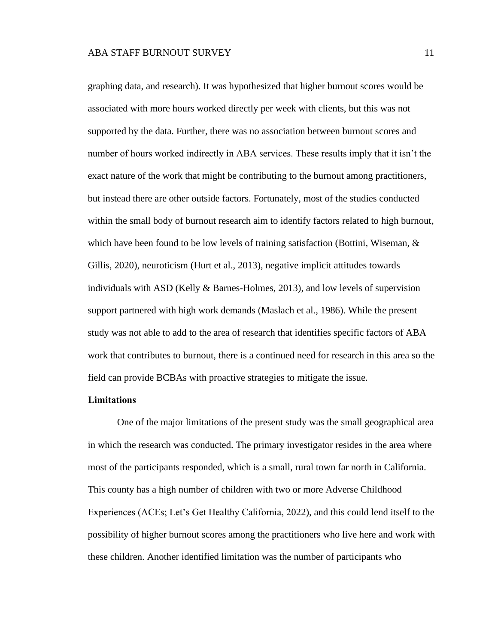graphing data, and research). It was hypothesized that higher burnout scores would be associated with more hours worked directly per week with clients, but this was not supported by the data. Further, there was no association between burnout scores and number of hours worked indirectly in ABA services. These results imply that it isn't the exact nature of the work that might be contributing to the burnout among practitioners, but instead there are other outside factors. Fortunately, most of the studies conducted within the small body of burnout research aim to identify factors related to high burnout, which have been found to be low levels of training satisfaction (Bottini, Wiseman, & Gillis, 2020), neuroticism (Hurt et al., 2013), negative implicit attitudes towards individuals with ASD (Kelly & Barnes-Holmes, 2013), and low levels of supervision support partnered with high work demands (Maslach et al., 1986). While the present study was not able to add to the area of research that identifies specific factors of ABA work that contributes to burnout, there is a continued need for research in this area so the field can provide BCBAs with proactive strategies to mitigate the issue.

#### <span id="page-16-0"></span>**Limitations**

One of the major limitations of the present study was the small geographical area in which the research was conducted. The primary investigator resides in the area where most of the participants responded, which is a small, rural town far north in California. This county has a high number of children with two or more Adverse Childhood Experiences (ACEs; Let's Get Healthy California, 2022), and this could lend itself to the possibility of higher burnout scores among the practitioners who live here and work with these children. Another identified limitation was the number of participants who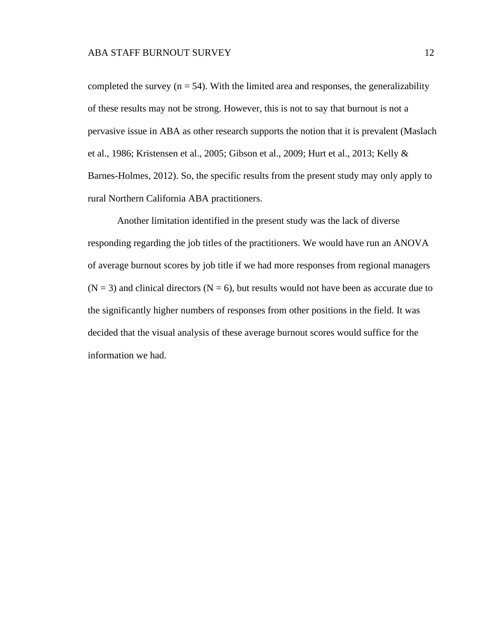completed the survey  $(n = 54)$ . With the limited area and responses, the generalizability of these results may not be strong. However, this is not to say that burnout is not a pervasive issue in ABA as other research supports the notion that it is prevalent (Maslach et al., 1986; Kristensen et al., 2005; Gibson et al., 2009; Hurt et al., 2013; Kelly & Barnes-Holmes, 2012). So, the specific results from the present study may only apply to rural Northern California ABA practitioners.

Another limitation identified in the present study was the lack of diverse responding regarding the job titles of the practitioners. We would have run an ANOVA of average burnout scores by job title if we had more responses from regional managers  $(N = 3)$  and clinical directors  $(N = 6)$ , but results would not have been as accurate due to the significantly higher numbers of responses from other positions in the field. It was decided that the visual analysis of these average burnout scores would suffice for the information we had.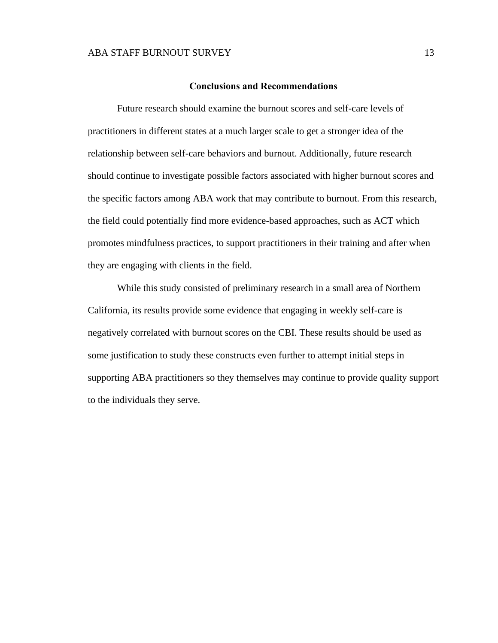#### **Conclusions and Recommendations**

<span id="page-18-0"></span>Future research should examine the burnout scores and self-care levels of practitioners in different states at a much larger scale to get a stronger idea of the relationship between self-care behaviors and burnout. Additionally, future research should continue to investigate possible factors associated with higher burnout scores and the specific factors among ABA work that may contribute to burnout. From this research, the field could potentially find more evidence-based approaches, such as ACT which promotes mindfulness practices, to support practitioners in their training and after when they are engaging with clients in the field.

While this study consisted of preliminary research in a small area of Northern California, its results provide some evidence that engaging in weekly self-care is negatively correlated with burnout scores on the CBI. These results should be used as some justification to study these constructs even further to attempt initial steps in supporting ABA practitioners so they themselves may continue to provide quality support to the individuals they serve.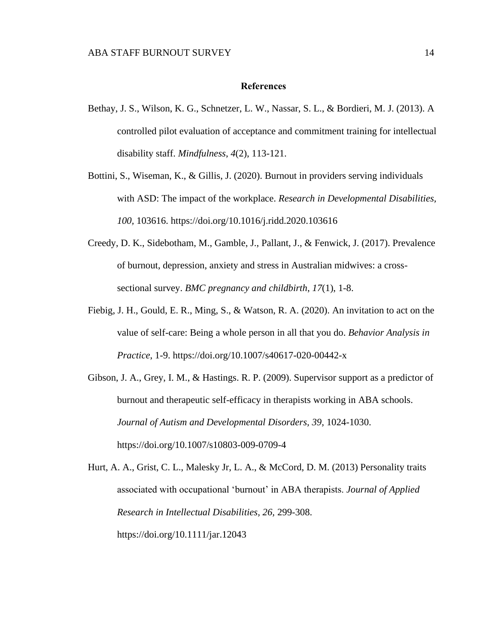#### **References**

- <span id="page-19-0"></span>Bethay, J. S., Wilson, K. G., Schnetzer, L. W., Nassar, S. L., & Bordieri, M. J. (2013). A controlled pilot evaluation of acceptance and commitment training for intellectual disability staff. *Mindfulness*, *4*(2), 113-121.
- Bottini, S., Wiseman, K., & Gillis, J. (2020). Burnout in providers serving individuals with ASD: The impact of the workplace. *Research in Developmental Disabilities, 100,* 103616. https://doi.org/10.1016/j.ridd.2020.103616
- Creedy, D. K., Sidebotham, M., Gamble, J., Pallant, J., & Fenwick, J. (2017). Prevalence of burnout, depression, anxiety and stress in Australian midwives: a crosssectional survey. *BMC pregnancy and childbirth*, *17*(1), 1-8.
- Fiebig, J. H., Gould, E. R., Ming, S., & Watson, R. A. (2020). An invitation to act on the value of self-care: Being a whole person in all that you do. *Behavior Analysis in Practice*, 1-9. https://doi.org/10.1007/s40617-020-00442-x
- Gibson, J. A., Grey, I. M., & Hastings. R. P. (2009). Supervisor support as a predictor of burnout and therapeutic self-efficacy in therapists working in ABA schools. *Journal of Autism and Developmental Disorders, 39,* 1024-1030. https://doi.org/10.1007/s10803-009-0709-4

Hurt, A. A., Grist, C. L., Malesky Jr, L. A., & McCord, D. M. (2013) Personality traits associated with occupational 'burnout' in ABA therapists. *Journal of Applied Research in Intellectual Disabilities, 26,* 299-308.

https://doi.org/10.1111/jar.12043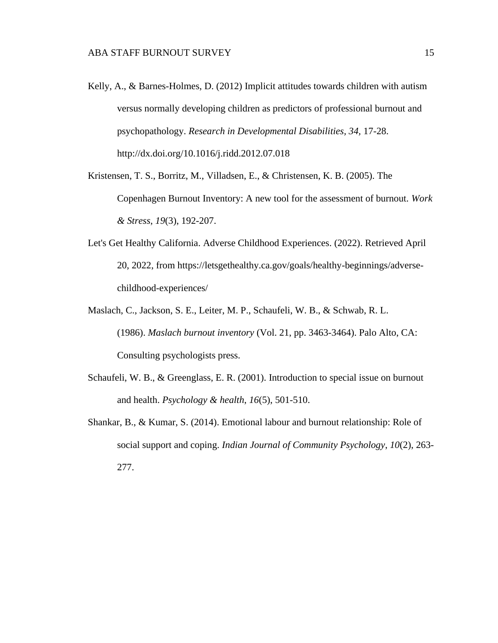- Kelly, A., & Barnes-Holmes, D. (2012) Implicit attitudes towards children with autism versus normally developing children as predictors of professional burnout and psychopathology. *Research in Developmental Disabilities, 34,* 17-28. http://dx.doi.org/10.1016/j.ridd.2012.07.018
- Kristensen, T. S., Borritz, M., Villadsen, E., & Christensen, K. B. (2005). The Copenhagen Burnout Inventory: A new tool for the assessment of burnout. *Work & Stress*, *19*(3), 192-207.
- Let's Get Healthy California. Adverse Childhood Experiences. (2022). Retrieved April 20, 2022, from https://letsgethealthy.ca.gov/goals/healthy-beginnings/adversechildhood-experiences/
- Maslach, C., Jackson, S. E., Leiter, M. P., Schaufeli, W. B., & Schwab, R. L. (1986). *Maslach burnout inventory* (Vol. 21, pp. 3463-3464). Palo Alto, CA: Consulting psychologists press.
- Schaufeli, W. B., & Greenglass, E. R. (2001). Introduction to special issue on burnout and health. *Psychology & health*, *16*(5), 501-510.
- Shankar, B., & Kumar, S. (2014). Emotional labour and burnout relationship: Role of social support and coping. *Indian Journal of Community Psychology*, *10*(2), 263- 277.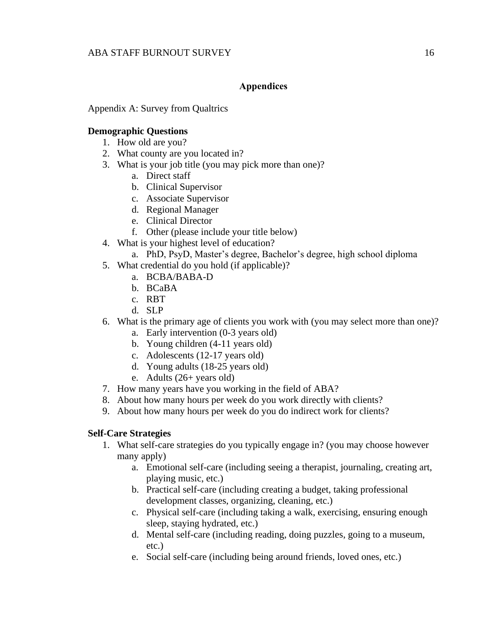## **Appendices**

<span id="page-21-1"></span><span id="page-21-0"></span>Appendix A: Survey from Qualtrics

### **Demographic Questions**

- 1. How old are you?
- 2. What county are you located in?
- 3. What is your job title (you may pick more than one)?
	- a. Direct staff
	- b. Clinical Supervisor
	- c. Associate Supervisor
	- d. Regional Manager
	- e. Clinical Director
	- f. Other (please include your title below)
- 4. What is your highest level of education?
	- a. PhD, PsyD, Master's degree, Bachelor's degree, high school diploma
- 5. What credential do you hold (if applicable)?
	- a. BCBA/BABA-D
		- b. BCaBA
		- c. RBT
		- d. SLP
- 6. What is the primary age of clients you work with (you may select more than one)?
	- a. Early intervention (0-3 years old)
	- b. Young children (4-11 years old)
	- c. Adolescents (12-17 years old)
	- d. Young adults (18-25 years old)
	- e. Adults (26+ years old)
- 7. How many years have you working in the field of ABA?
- 8. About how many hours per week do you work directly with clients?
- 9. About how many hours per week do you do indirect work for clients?

## **Self-Care Strategies**

- 1. What self-care strategies do you typically engage in? (you may choose however many apply)
	- a. Emotional self-care (including seeing a therapist, journaling, creating art, playing music, etc.)
	- b. Practical self-care (including creating a budget, taking professional development classes, organizing, cleaning, etc.)
	- c. Physical self-care (including taking a walk, exercising, ensuring enough sleep, staying hydrated, etc.)
	- d. Mental self-care (including reading, doing puzzles, going to a museum, etc.)
	- e. Social self-care (including being around friends, loved ones, etc.)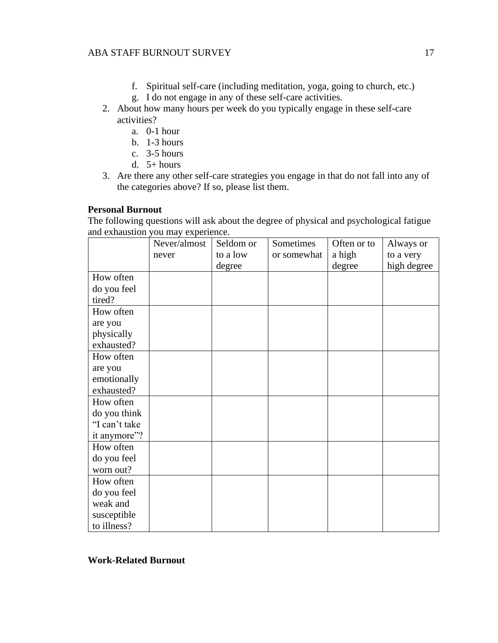- f. Spiritual self-care (including meditation, yoga, going to church, etc.)
- g. I do not engage in any of these self-care activities.
- 2. About how many hours per week do you typically engage in these self-care activities?
	- a. 0-1 hour
	- b. 1-3 hours
	- c. 3-5 hours
	- d. 5+ hours
- 3. Are there any other self-care strategies you engage in that do not fall into any of the categories above? If so, please list them.

## **Personal Burnout**

The following questions will ask about the degree of physical and psychological fatigue and exhaustion you may experience.

|               | Never/almost | Seldom or | Sometimes   | Often or to | Always or   |
|---------------|--------------|-----------|-------------|-------------|-------------|
|               | never        | to a low  | or somewhat | a high      | to a very   |
|               |              | degree    |             | degree      | high degree |
| How often     |              |           |             |             |             |
| do you feel   |              |           |             |             |             |
| tired?        |              |           |             |             |             |
| How often     |              |           |             |             |             |
| are you       |              |           |             |             |             |
| physically    |              |           |             |             |             |
| exhausted?    |              |           |             |             |             |
| How often     |              |           |             |             |             |
| are you       |              |           |             |             |             |
| emotionally   |              |           |             |             |             |
| exhausted?    |              |           |             |             |             |
| How often     |              |           |             |             |             |
| do you think  |              |           |             |             |             |
| "I can't take |              |           |             |             |             |
| it anymore"?  |              |           |             |             |             |
| How often     |              |           |             |             |             |
| do you feel   |              |           |             |             |             |
| worn out?     |              |           |             |             |             |
| How often     |              |           |             |             |             |
| do you feel   |              |           |             |             |             |
| weak and      |              |           |             |             |             |
| susceptible   |              |           |             |             |             |
| to illness?   |              |           |             |             |             |

**Work-Related Burnout**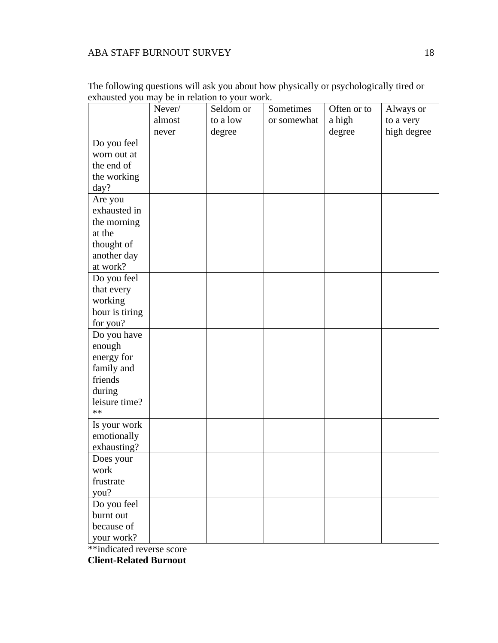|                | Never/ | Seldom or | Sometimes   | Often or to | Always or   |
|----------------|--------|-----------|-------------|-------------|-------------|
|                | almost | to a low  | or somewhat | a high      | to a very   |
|                | never  | degree    |             | degree      | high degree |
| Do you feel    |        |           |             |             |             |
| worn out at    |        |           |             |             |             |
| the end of     |        |           |             |             |             |
| the working    |        |           |             |             |             |
| day?           |        |           |             |             |             |
| Are you        |        |           |             |             |             |
| exhausted in   |        |           |             |             |             |
| the morning    |        |           |             |             |             |
| at the         |        |           |             |             |             |
| thought of     |        |           |             |             |             |
| another day    |        |           |             |             |             |
| at work?       |        |           |             |             |             |
| Do you feel    |        |           |             |             |             |
| that every     |        |           |             |             |             |
| working        |        |           |             |             |             |
| hour is tiring |        |           |             |             |             |
| for you?       |        |           |             |             |             |
| Do you have    |        |           |             |             |             |
| enough         |        |           |             |             |             |
| energy for     |        |           |             |             |             |
| family and     |        |           |             |             |             |
| friends        |        |           |             |             |             |
| during         |        |           |             |             |             |
| leisure time?  |        |           |             |             |             |
| $**$           |        |           |             |             |             |
| Is your work   |        |           |             |             |             |
| emotionally    |        |           |             |             |             |
| exhausting?    |        |           |             |             |             |
| Does your      |        |           |             |             |             |
| work           |        |           |             |             |             |
| frustrate      |        |           |             |             |             |
| you?           |        |           |             |             |             |
| Do you feel    |        |           |             |             |             |
| burnt out      |        |           |             |             |             |
| because of     |        |           |             |             |             |
| your work?     |        |           |             |             |             |

The following questions will ask you about how physically or psychologically tired or exhausted you may be in relation to your work.

\*\*indicated reverse score

**Client-Related Burnout**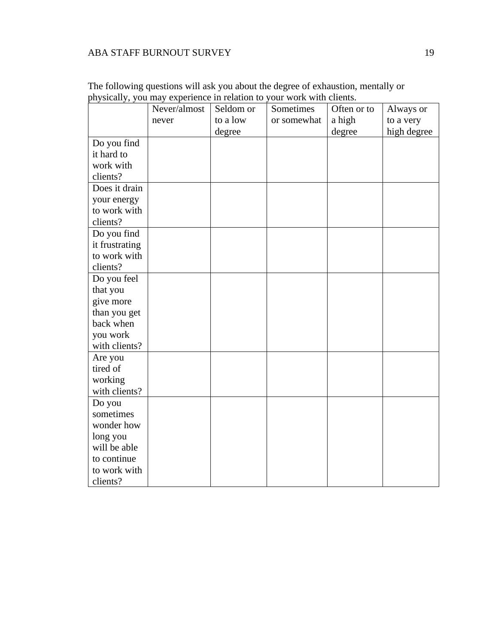|                           | Never/almost | Seldom or | Sometimes   | Often or to | Always or   |
|---------------------------|--------------|-----------|-------------|-------------|-------------|
|                           | never        | to a low  | or somewhat | a high      | to a very   |
|                           |              | degree    |             | degree      | high degree |
| Do you find               |              |           |             |             |             |
| it hard to                |              |           |             |             |             |
| work with                 |              |           |             |             |             |
|                           |              |           |             |             |             |
| clients?<br>Does it drain |              |           |             |             |             |
|                           |              |           |             |             |             |
| your energy               |              |           |             |             |             |
| to work with              |              |           |             |             |             |
| clients?                  |              |           |             |             |             |
| Do you find               |              |           |             |             |             |
| it frustrating            |              |           |             |             |             |
| to work with              |              |           |             |             |             |
| clients?                  |              |           |             |             |             |
| Do you feel               |              |           |             |             |             |
| that you                  |              |           |             |             |             |
| give more                 |              |           |             |             |             |
| than you get              |              |           |             |             |             |
| back when                 |              |           |             |             |             |
| you work                  |              |           |             |             |             |
| with clients?             |              |           |             |             |             |
| Are you                   |              |           |             |             |             |
| tired of                  |              |           |             |             |             |
| working                   |              |           |             |             |             |
| with clients?             |              |           |             |             |             |
| Do you                    |              |           |             |             |             |
| sometimes                 |              |           |             |             |             |
| wonder how                |              |           |             |             |             |
| long you                  |              |           |             |             |             |
| will be able              |              |           |             |             |             |
| to continue               |              |           |             |             |             |
| to work with              |              |           |             |             |             |
| clients?                  |              |           |             |             |             |

The following questions will ask you about the degree of exhaustion, mentally or physically, you may experience in relation to your work with clients.